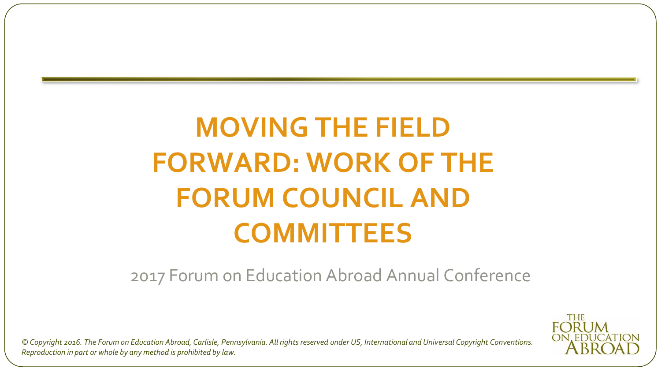## **MOVING THE FIELD FORWARD: WORK OF THE FORUM COUNCIL AND COMMITTEES**

2017 Forum on Education Abroad Annual Conference

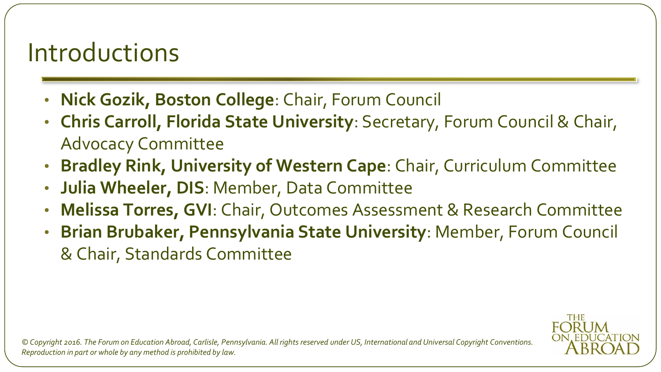## Introductions

- **Nick Gozik, Boston College**: Chair, Forum Council
- **Chris Carroll, Florida State University**: Secretary, Forum Council & Chair, Advocacy Committee
- **Bradley Rink, University of Western Cape**: Chair, Curriculum Committee
- **Julia Wheeler, DIS**: Member, Data Committee
- **Melissa Torres, GVI**: Chair, Outcomes Assessment & Research Committee
- **Brian Brubaker, Pennsylvania State University**: Member, Forum Council & Chair, Standards Committee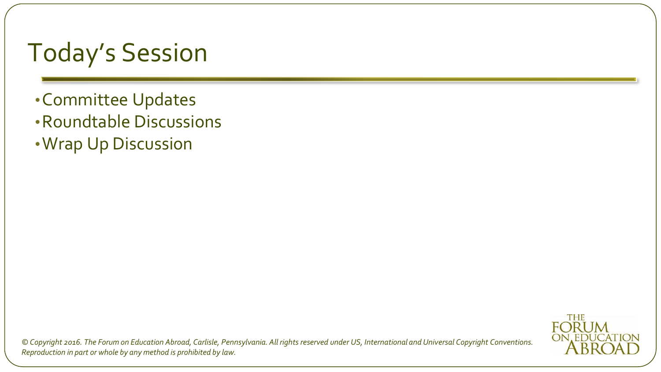## Today's Session

- •Committee Updates
- •Roundtable Discussions
- •Wrap Up Discussion

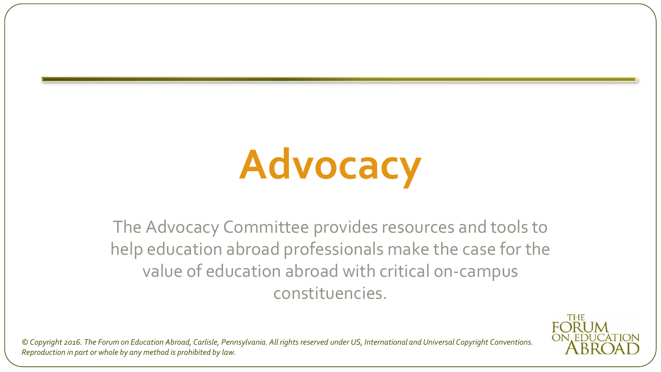# **Advocacy**

The Advocacy Committee provides resources and tools to help education abroad professionals make the case for the value of education abroad with critical on-campus constituencies.

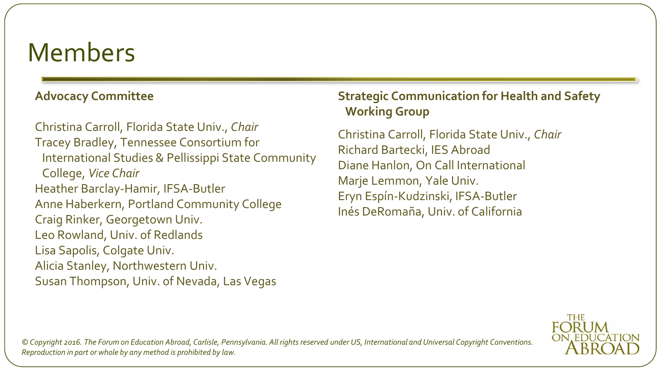#### **Advocacy Committee**

Christina Carroll, Florida State Univ., *Chair* Tracey Bradley, Tennessee Consortium for International Studies & Pellissippi State Community College, *Vice Chair* Heather Barclay-Hamir, IFSA-Butler Anne Haberkern, Portland Community College Craig Rinker, Georgetown Univ. Leo Rowland, Univ. of Redlands Lisa Sapolis, Colgate Univ. Alicia Stanley, Northwestern Univ. Susan Thompson, Univ. of Nevada, Las Vegas

#### **Strategic Communication for Health and Safety Working Group**

Christina Carroll, Florida State Univ., *Chair* Richard Bartecki, IES Abroad Diane Hanlon, On Call International Marje Lemmon, Yale Univ. Eryn Espín-Kudzinski, IFSA-Butler Inés DeRomaña, Univ. of California

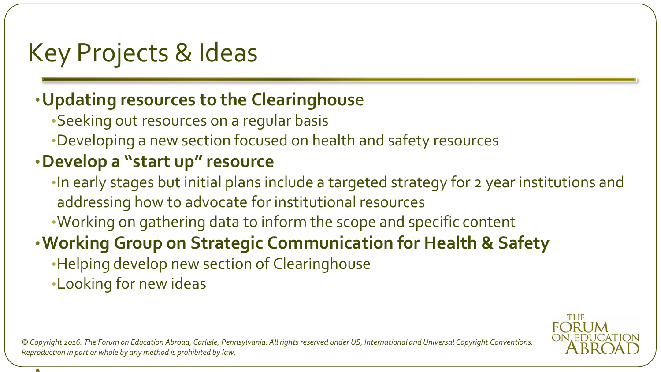## Key Projects & Ideas

#### •**Updating resources to the Clearinghous**e

- •Seeking out resources on a regular basis
- •Developing a new section focused on health and safety resources

### •**Develop a "start up" resource**

- •In early stages but initial plans include a targeted strategy for 2 year institutions and addressing how to advocate for institutional resources
- •Working on gathering data to inform the scope and specific content

### •**Working Group on Strategic Communication for Health & Safety**

- •Helping develop new section of Clearinghouse
- •Looking for new ideas

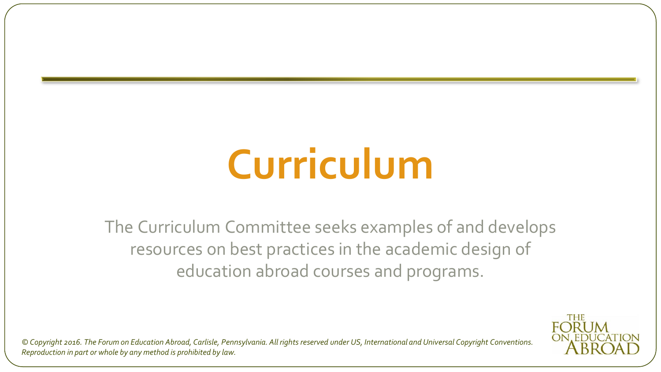# **Curriculum**

The Curriculum Committee seeks examples of and develops resources on best practices in the academic design of education abroad courses and programs.

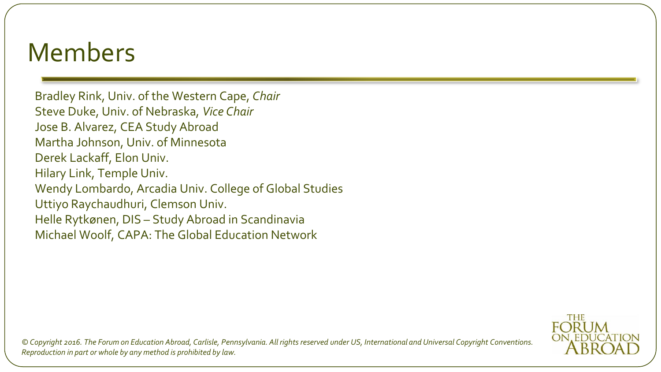Bradley Rink, Univ. of the Western Cape, *Chair* Steve Duke, Univ. of Nebraska, *Vice Chair* Jose B. Alvarez, CEA Study Abroad Martha Johnson, Univ. of Minnesota Derek Lackaff, Elon Univ. Hilary Link, Temple Univ. Wendy Lombardo, Arcadia Univ. College of Global Studies Uttiyo Raychaudhuri, Clemson Univ. Helle Rytkønen, DIS – Study Abroad in Scandinavia Michael Woolf, CAPA: The Global Education Network

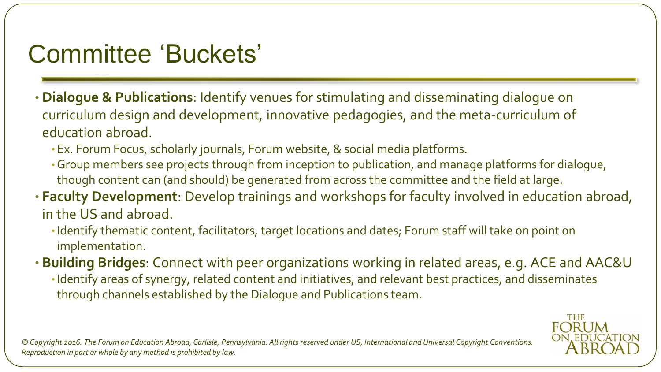## Committee 'Buckets'

- **Dialogue & Publications**: Identify venues for stimulating and disseminating dialogue on curriculum design and development, innovative pedagogies, and the meta-curriculum of education abroad.
	- •Ex. Forum Focus, scholarly journals, Forum website, & social media platforms.
	- •Group members see projects through from inception to publication, and manage platforms for dialogue, though content can (and should) be generated from across the committee and the field at large.
- **Faculty Development**: Develop trainings and workshops for faculty involved in education abroad, in the US and abroad.
	- •Identify thematic content, facilitators, target locations and dates; Forum staff will take on point on implementation.
- **Building Bridges**: Connect with peer organizations working in related areas, e.g. ACE and AAC&U •Identify areas of synergy, related content and initiatives, and relevant best practices, and disseminates through channels established by the Dialogue and Publications team.

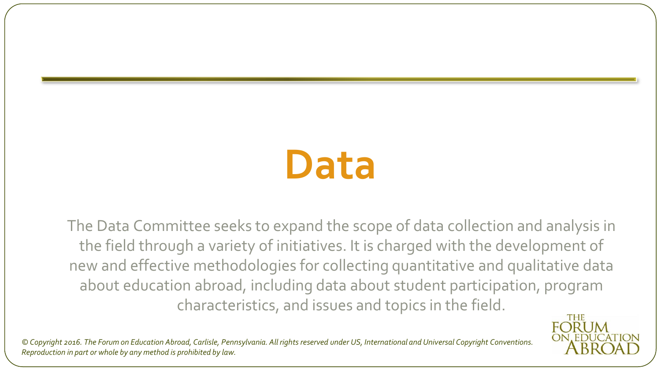## **Data**

The Data Committee seeks to expand the scope of data collection and analysis in the field through a variety of initiatives. It is charged with the development of new and effective methodologies for collecting quantitative and qualitative data about education abroad, including data about student participation, program characteristics, and issues and topics in the field.**THE** 

**FORUM** 

ON. EDUCATION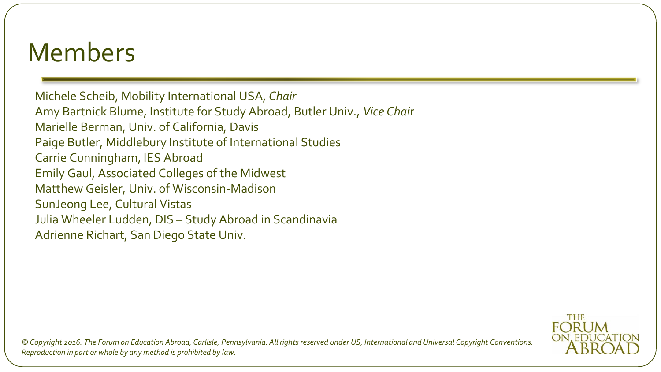Michele Scheib, Mobility International USA, *Chair* Amy Bartnick Blume, Institute for Study Abroad, Butler Univ., *Vice Chai*r Marielle Berman, Univ. of California, Davis Paige Butler, Middlebury Institute of International Studies Carrie Cunningham, IES Abroad Emily Gaul, Associated Colleges of the Midwest Matthew Geisler, Univ. of Wisconsin-Madison SunJeong Lee, Cultural Vistas Julia Wheeler Ludden, DIS – Study Abroad in Scandinavia Adrienne Richart, San Diego State Univ.

THE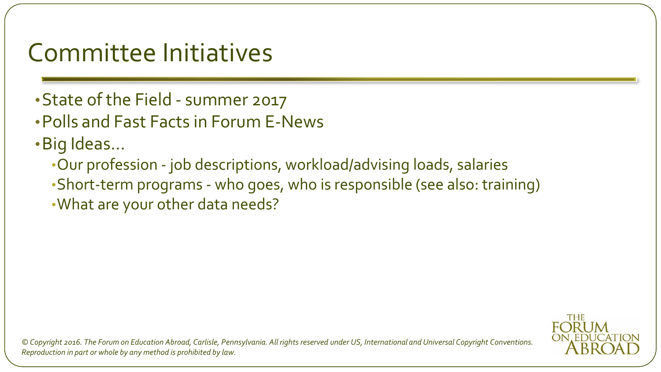## Committee Initiatives

- •State of the Field summer 2017
- •Polls and Fast Facts in Forum E-News
- •Big Ideas…
	- •Our profession job descriptions, workload/advising loads, salaries
	- •Short-term programs who goes, who is responsible (see also: training)
	- •What are your other data needs?

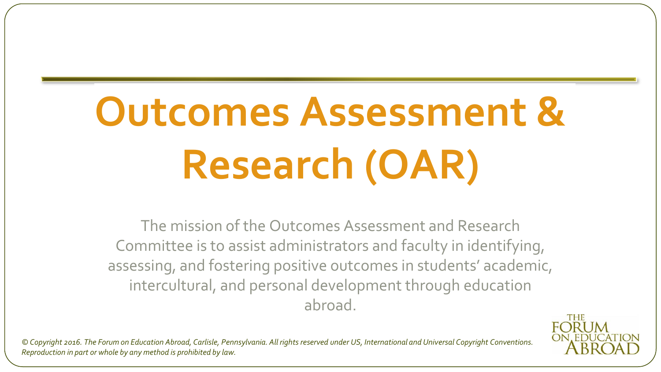# **Outcomes Assessment & Research (OAR)**

The mission of the Outcomes Assessment and Research Committee is to assist administrators and faculty in identifying, assessing, and fostering positive outcomes in students' academic, intercultural, and personal development through education abroad.

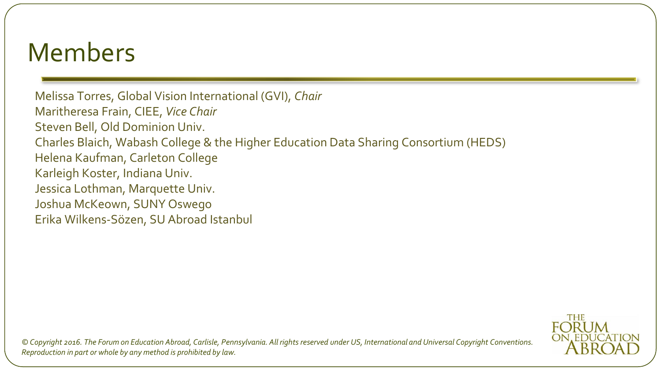Melissa Torres, Global Vision International (GVI), *Chair* Maritheresa Frain, CIEE, *Vice Chair* Steven Bell, Old Dominion Univ. Charles Blaich, Wabash College & the Higher Education Data Sharing Consortium (HEDS) Helena Kaufman, Carleton College Karleigh Koster, Indiana Univ. Jessica Lothman, Marquette Univ. Joshua McKeown, SUNY Oswego Erika Wilkens-Sözen, SU Abroad Istanbul

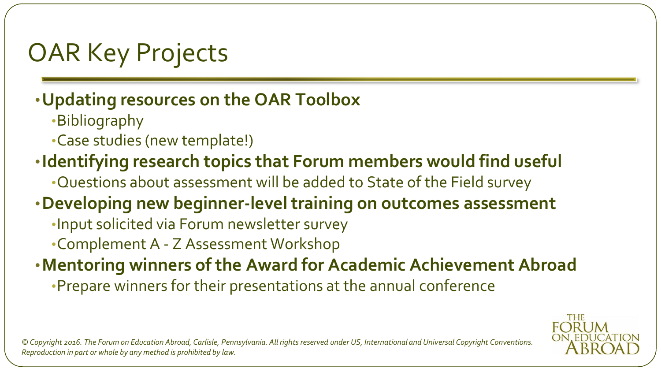## OAR Key Projects

### •**Updating resources on the OAR Toolbox**

- •Bibliography
- •Case studies (new template!)
- •**Identifying research topics that Forum members would find useful**
	- •Questions about assessment will be added to State of the Field survey
- •**Developing new beginner-level training on outcomes assessment**
	- •Input solicited via Forum newsletter survey
	- •Complement A Z Assessment Workshop

•**Mentoring winners of the Award for Academic Achievement Abroad** 

•Prepare winners for their presentations at the annual conference

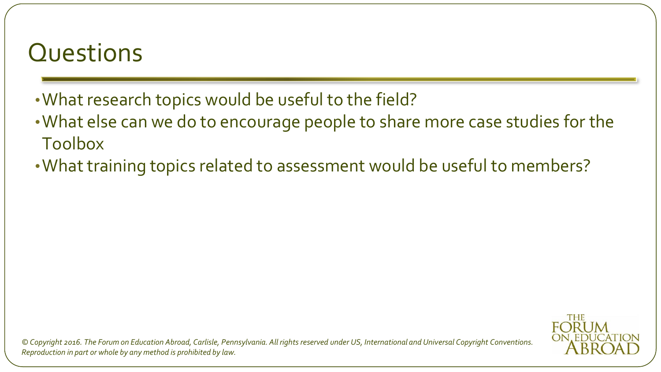## **Questions**

- •What research topics would be useful to the field?
- •What else can we do to encourage people to share more case studies for the Toolbox
- •What training topics related to assessment would be useful to members?

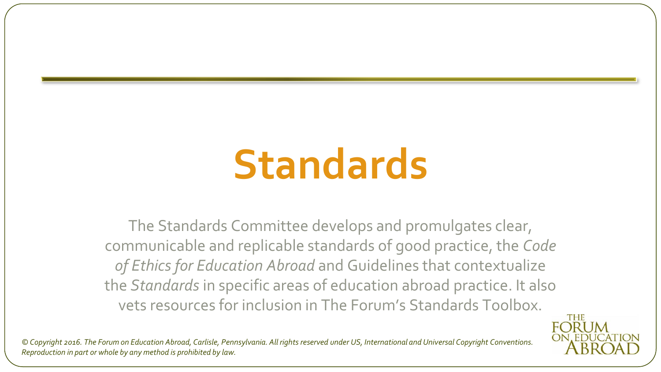## **Standards**

The Standards Committee develops and promulgates clear, communicable and replicable standards of good practice, the *Code of Ethics for Education Abroad* and Guidelines that contextualize the *Standards* in specific areas of education abroad practice. It also vets resources for inclusion in The Forum's Standards Toolbox.

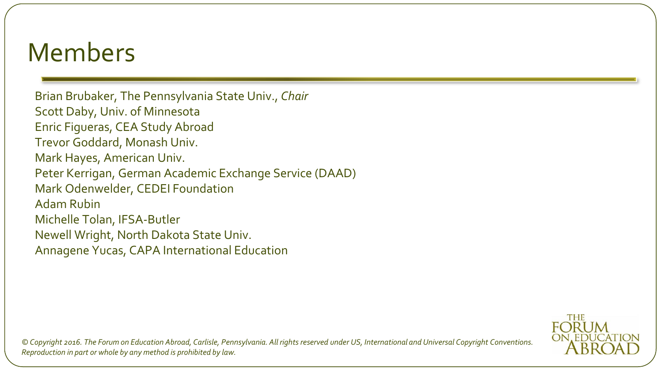Brian Brubaker, The Pennsylvania State Univ., *Chair* Scott Daby, Univ. of Minnesota Enric Figueras, CEA Study Abroad Trevor Goddard, Monash Univ. Mark Hayes, American Univ. Peter Kerrigan, German Academic Exchange Service (DAAD) Mark Odenwelder, CEDEI Foundation Adam Rubin Michelle Tolan, IFSA-Butler Newell Wright, North Dakota State Univ. Annagene Yucas, CAPA International Education

> **THE FORI JM**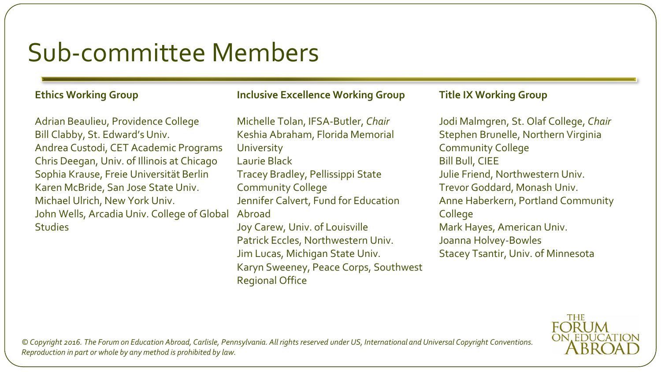## Sub-committee Members

#### **Ethics Working Group**

Adrian Beaulieu, Providence College Bill Clabby, St. Edward's Univ. Andrea Custodi, CET Academic Programs Chris Deegan, Univ. of Illinois at Chicago Sophia Krause, Freie Universität Berlin Karen McBride, San Jose State Univ. Michael Ulrich, New York Univ. John Wells, Arcadia Univ. College of Global **Studies** 

#### **Inclusive Excellence Working Group**

Michelle Tolan, IFSA-Butler, *Chair* Keshia Abraham, Florida Memorial **University** Laurie Black Tracey Bradley, Pellissippi State Community College Jennifer Calvert, Fund for Education Abroad Joy Carew, Univ. of Louisville Patrick Eccles, Northwestern Univ. Jim Lucas, Michigan State Univ.

Karyn Sweeney, Peace Corps, Southwest Regional Office

#### **Title IX Working Group**

Jodi Malmgren, St. Olaf College, *Chair* Stephen Brunelle, Northern Virginia Community College Bill Bull, CIEE Julie Friend, Northwestern Univ. Trevor Goddard, Monash Univ. Anne Haberkern, Portland Community College Mark Hayes, American Univ. Joanna Holvey-Bowles Stacey Tsantir, Univ. of Minnesota

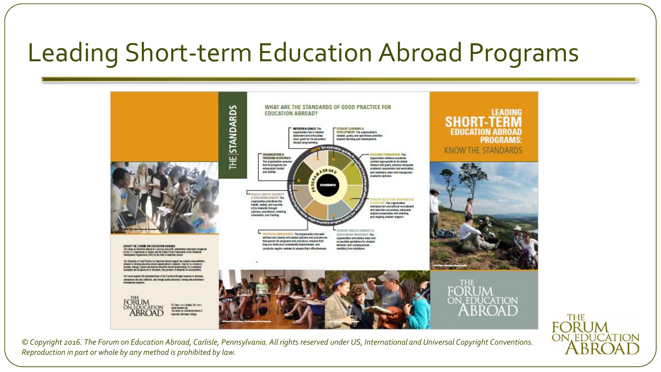## Leading Short-term Education Abroad Programs



**FORUM** 

**ON EDUCATION**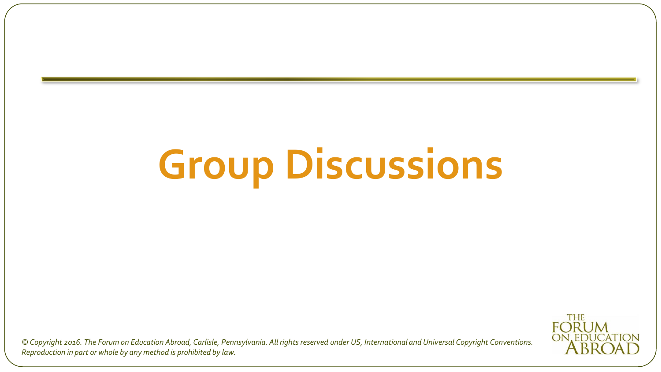# **Group Discussions**

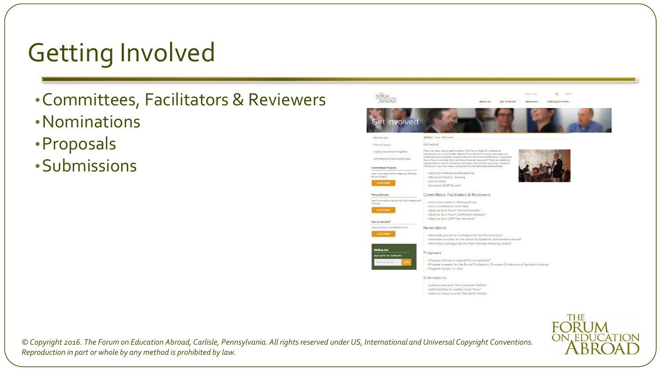## Getting Involved

- •Committees, Facilitators & Reviewers
- •Nominations
- •Proposals
- •Submissions